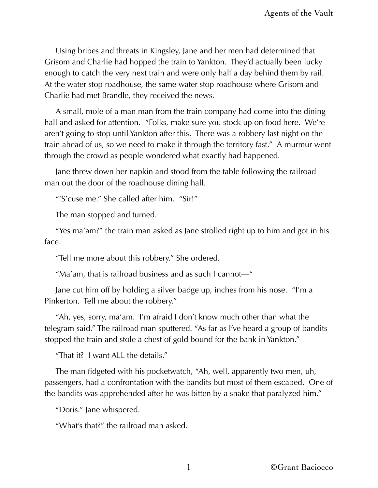Using bribes and threats in Kingsley, Jane and her men had determined that Grisom and Charlie had hopped the train to Yankton. They'd actually been lucky enough to catch the very next train and were only half a day behind them by rail. At the water stop roadhouse, the same water stop roadhouse where Grisom and Charlie had met Brandle, they received the news.

A small, mole of a man man from the train company had come into the dining hall and asked for attention. "Folks, make sure you stock up on food here. We're aren't going to stop until Yankton after this. There was a robbery last night on the train ahead of us, so we need to make it through the territory fast." A murmur went through the crowd as people wondered what exactly had happened.

Jane threw down her napkin and stood from the table following the railroad man out the door of the roadhouse dining hall.

"'S'cuse me." She called after him. "Sir!"

The man stopped and turned.

"Yes ma'am?" the train man asked as Jane strolled right up to him and got in his face.

"Tell me more about this robbery." She ordered.

"Ma'am, that is railroad business and as such I cannot—"

Jane cut him off by holding a silver badge up, inches from his nose. "I'm a Pinkerton. Tell me about the robbery."

"Ah, yes, sorry, ma'am. I'm afraid I don't know much other than what the telegram said." The railroad man sputtered. "As far as I've heard a group of bandits stopped the train and stole a chest of gold bound for the bank in Yankton."

"That it? I want ALL the details."

The man fidgeted with his pocketwatch, "Ah, well, apparently two men, uh, passengers, had a confrontation with the bandits but most of them escaped. One of the bandits was apprehended after he was bitten by a snake that paralyzed him."

"Doris." Jane whispered.

"What's that?" the railroad man asked.